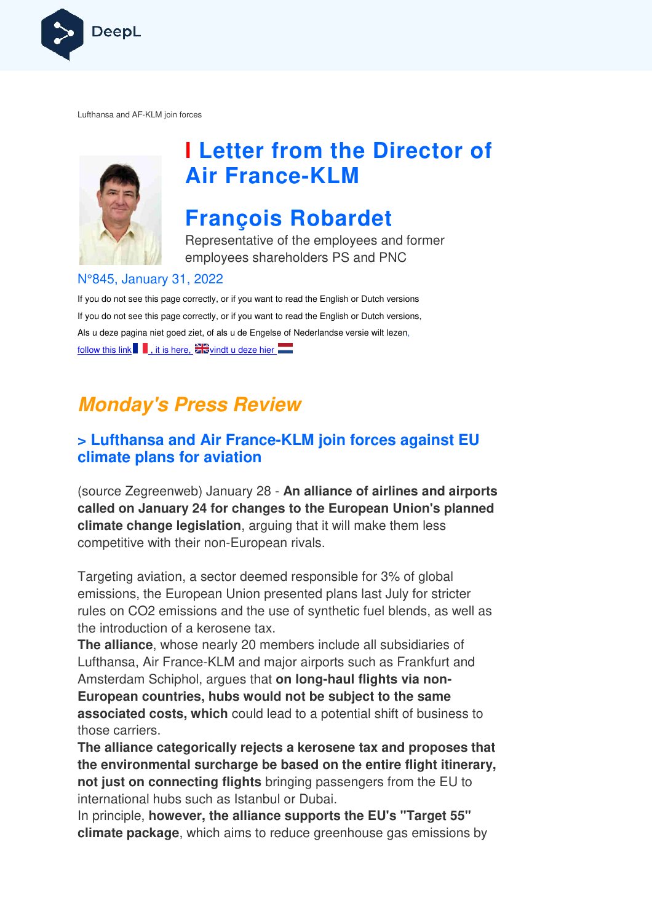

Lufthansa and AF-KLM join forces



# **I Letter from the Director of Air France France-KLM**

## **François Robardet**

Representative of the employees and former employees shareholders PS and PNC

#### N°845, January 31, 2022

If you do not see this page correctly, or if you want to read the English or Dutch versions If you do not see this page correctly, or if you want to read the English or Dutch versions, If you do not see this page correctly, or if you want to read the English or Dutch versior<br>Als u deze pagina niet goed ziet, of als u de Engelse of Nederlandse versie wilt lezen, follow this link  $\blacksquare$ , it is here,  $\blacksquare$  vindt u deze hier

## **Monday's Press Review**

## **x** Lufthansa and Air France-KLM join forces against EU **climate plans for aviation**

(source Zegreenweb) January 28 - **An alliance of airlines and airports called on January 24 for changes to the European Union's planned climate change legislation** , arguing that it will make them less competitive with their non-European rivals.

competitive with their non-European rivals.<br>Targeting aviation, a sector deemed responsible for 3% of global emissions, the European Union presented plans last July for stricter rules on CO2 emissions and the use of synthetic fuel blends, as well as the introduction of a kerosene tax.

**The alliance**, whose nearly 20 members include all subsidiaries of Lufthansa, Air France-KLM and major airports such as Frankfurt and Amsterdam Schiphol, argues that on long-haul flights via non-**European countries, hubs would not be subject to the same associated costs, which** could lead to a potential shift of business to those carriers.

**The alliance categorically rejects a kerosene tax and proposes that the environmental surcharge be based on the entire flight itinerary, not just on connecting flights**  bringing passengers from the EU to international hubs such as Istanbul or Dubai.

In principle, **however, the alliance supports the EU's "Target 55" climate package**, which aims to reduce greenhouse gas emissions by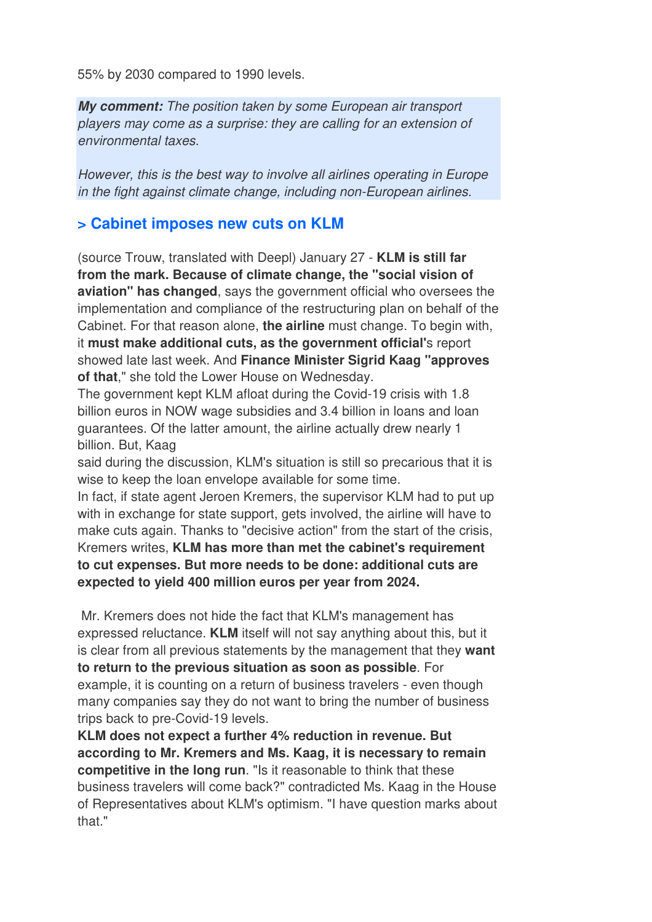55% by 2030 compared to 1990 levels.

**My comment:** The position taken by some European air transport players may come as a surprise: they are calling for an extension of environmental taxes.

However, this is the best way to involve all airlines operating in Europe in the fight against climate change, including non-European airlines.

#### **> Cabinet imposes new cuts on KLM**

(source Trouw, translated with Deepl) January 27 - **KLM is still far from the mark. Because of climate change, the "social vision of aviation" has changed**, says the government official who oversees the implementation and compliance of the restructuring plan on behalf of the Cabinet. For that reason alone, **the airline** must change. To begin with, it **must make additional cuts, as the government official'**s report showed late last week. And **Finance Minister Sigrid Kaag "approves of that**," she told the Lower House on Wednesday.

The government kept KLM afloat during the Covid-19 crisis with 1.8 billion euros in NOW wage subsidies and 3.4 billion in loans and loan guarantees. Of the latter amount, the airline actually drew nearly 1 billion. But, Kaag

said during the discussion, KLM's situation is still so precarious that it is wise to keep the loan envelope available for some time.

In fact, if state agent Jeroen Kremers, the supervisor KLM had to put up with in exchange for state support, gets involved, the airline will have to make cuts again. Thanks to "decisive action" from the start of the crisis, Kremers writes, **KLM has more than met the cabinet's requirement to cut expenses. But more needs to be done: additional cuts are expected to yield 400 million euros per year from 2024.** 

 Mr. Kremers does not hide the fact that KLM's management has expressed reluctance. **KLM** itself will not say anything about this, but it is clear from all previous statements by the management that they **want to return to the previous situation as soon as possible**. For example, it is counting on a return of business travelers - even though many companies say they do not want to bring the number of business trips back to pre-Covid-19 levels.

**KLM does not expect a further 4% reduction in revenue. But according to Mr. Kremers and Ms. Kaag, it is necessary to remain competitive in the long run**. "Is it reasonable to think that these business travelers will come back?" contradicted Ms. Kaag in the House of Representatives about KLM's optimism. "I have question marks about that."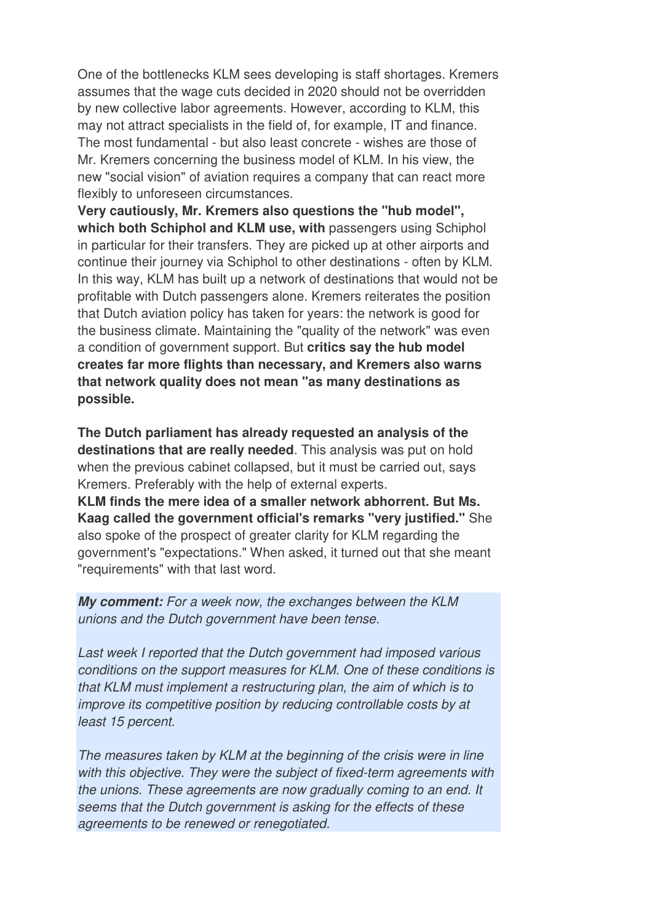One of the bottlenecks KLM sees developing is staff shortages. Kremers assumes that the wage cuts decided in 2020 should not be overridden by new collective labor agreements. However, according to KLM, this may not attract specialists in the field of, for example, IT and finance. The most fundamental - but also least concrete - wishes are those of Mr. Kremers concerning the business model of KLM. In his view, the new "social vision" of aviation requires a company that can react more flexibly to unforeseen circumstances.

**Very cautiously, Mr. Kremers also questions the "hub model",**  which both Schiphol and KLM use, with passengers using Schiphol in particular for their transfers. They are picked up at other airports and continue their journey via Schiphol to other destinations - often by KLM. In this way, KLM has built up a network of destinations that would not be profitable with Dutch passengers alone. Kremers reiterates the position that Dutch aviation policy has taken for years: the network is good for the business climate. Maintaining the "quality of the network" was even a condition of government support. But **critics say the hub model creates far more flights than necessary, and Kremers also warns that network quality does not mean "as many destinations as possible.** 

**The Dutch parliament has already requested an analysis of the destinations that are really needed**. This analysis was put on hold when the previous cabinet collapsed, but it must be carried out, says Kremers. Preferably with the help of external experts.

**KLM finds the mere idea of a smaller network abhorrent. But Ms. Kaag called the government official's remarks "very justified."** She also spoke of the prospect of greater clarity for KLM regarding the government's "expectations." When asked, it turned out that she meant "requirements" with that last word.

**My comment:** For a week now, the exchanges between the KLM unions and the Dutch government have been tense.

Last week I reported that the Dutch government had imposed various conditions on the support measures for KLM. One of these conditions is that KLM must implement a restructuring plan, the aim of which is to improve its competitive position by reducing controllable costs by at least 15 percent.

The measures taken by KLM at the beginning of the crisis were in line with this objective. They were the subject of fixed-term agreements with the unions. These agreements are now gradually coming to an end. It seems that the Dutch government is asking for the effects of these agreements to be renewed or renegotiated.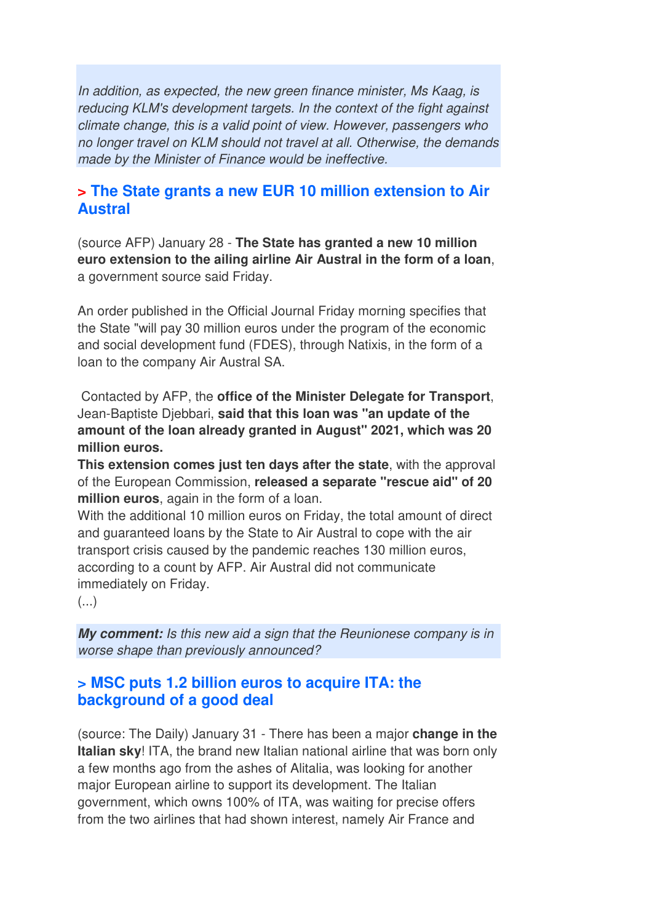In addition, as expected, the new green finance minister, Ms Kaag, is reducing KLM's development targets. In the context of the fight against climate change, this is a valid point of view. However, passengers who no longer travel on KLM should not travel at all. Otherwise, the demands made by the Minister of Finance would be ineffective.

## **> The State grants a new EUR 10 million extension to Air Austral**

(source AFP) January 28 - **The State has granted a new 10 million euro extension to the ailing airline Air Austral in the form of a loan**, a government source said Friday.

An order published in the Official Journal Friday morning specifies that the State "will pay 30 million euros under the program of the economic and social development fund (FDES), through Natixis, in the form of a loan to the company Air Austral SA.

 Contacted by AFP, the **office of the Minister Delegate for Transport**, Jean-Baptiste Djebbari, **said that this loan was "an update of the amount of the loan already granted in August" 2021, which was 20 million euros.** 

**This extension comes just ten days after the state**, with the approval of the European Commission, **released a separate "rescue aid" of 20 million euros**, again in the form of a loan.

With the additional 10 million euros on Friday, the total amount of direct and guaranteed loans by the State to Air Austral to cope with the air transport crisis caused by the pandemic reaches 130 million euros, according to a count by AFP. Air Austral did not communicate immediately on Friday.

 $\left(\ldots\right)$ 

**My comment:** Is this new aid a sign that the Reunionese company is in worse shape than previously announced?

#### **> MSC puts 1.2 billion euros to acquire ITA: the background of a good deal**

(source: The Daily) January 31 - There has been a major **change in the Italian sky**! ITA, the brand new Italian national airline that was born only a few months ago from the ashes of Alitalia, was looking for another major European airline to support its development. The Italian government, which owns 100% of ITA, was waiting for precise offers from the two airlines that had shown interest, namely Air France and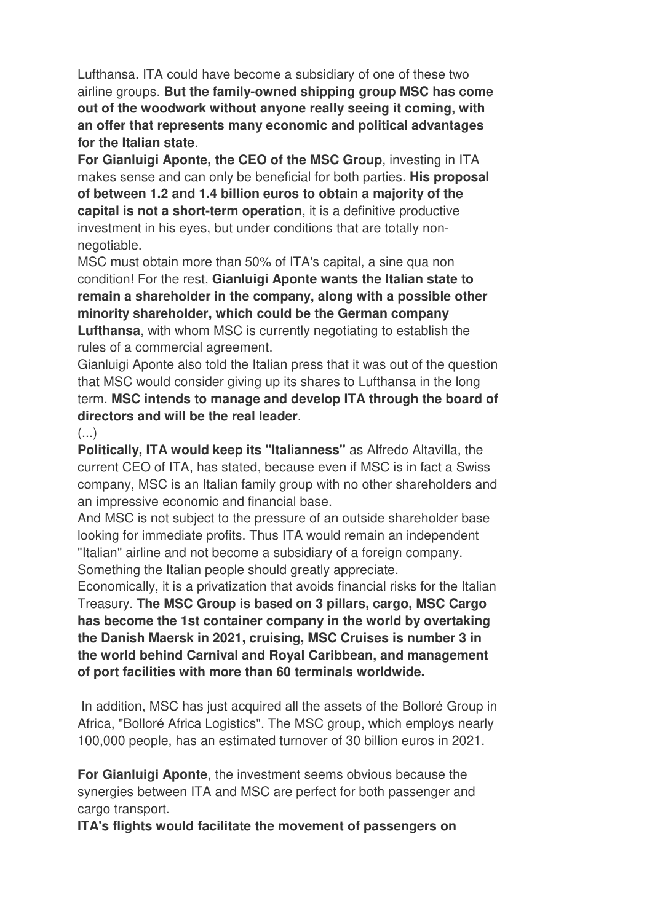Lufthansa. ITA could have become a subsidiary of one of these two airline groups. **But the family-owned shipping group MSC has come out of the woodwork without anyone really seeing it coming, with an offer that represents many economic and political advantages for the Italian state**.

**For Gianluigi Aponte, the CEO of the MSC Group**, investing in ITA makes sense and can only be beneficial for both parties. **His proposal of between 1.2 and 1.4 billion euros to obtain a majority of the capital is not a short-term operation**, it is a definitive productive investment in his eyes, but under conditions that are totally nonnegotiable.

MSC must obtain more than 50% of ITA's capital, a sine qua non condition! For the rest, **Gianluigi Aponte wants the Italian state to remain a shareholder in the company, along with a possible other minority shareholder, which could be the German company Lufthansa**, with whom MSC is currently negotiating to establish the rules of a commercial agreement.

Gianluigi Aponte also told the Italian press that it was out of the question that MSC would consider giving up its shares to Lufthansa in the long term. **MSC intends to manage and develop ITA through the board of directors and will be the real leader**.

 $(\ldots)$ 

**Politically, ITA would keep its "Italianness"** as Alfredo Altavilla, the current CEO of ITA, has stated, because even if MSC is in fact a Swiss company, MSC is an Italian family group with no other shareholders and an impressive economic and financial base.

And MSC is not subject to the pressure of an outside shareholder base looking for immediate profits. Thus ITA would remain an independent "Italian" airline and not become a subsidiary of a foreign company. Something the Italian people should greatly appreciate.

Economically, it is a privatization that avoids financial risks for the Italian Treasury. **The MSC Group is based on 3 pillars, cargo, MSC Cargo has become the 1st container company in the world by overtaking the Danish Maersk in 2021, cruising, MSC Cruises is number 3 in the world behind Carnival and Royal Caribbean, and management of port facilities with more than 60 terminals worldwide.** 

In addition, MSC has just acquired all the assets of the Bolloré Group in Africa, "Bolloré Africa Logistics". The MSC group, which employs nearly 100,000 people, has an estimated turnover of 30 billion euros in 2021.

**For Gianluigi Aponte**, the investment seems obvious because the synergies between ITA and MSC are perfect for both passenger and cargo transport.

**ITA's flights would facilitate the movement of passengers on**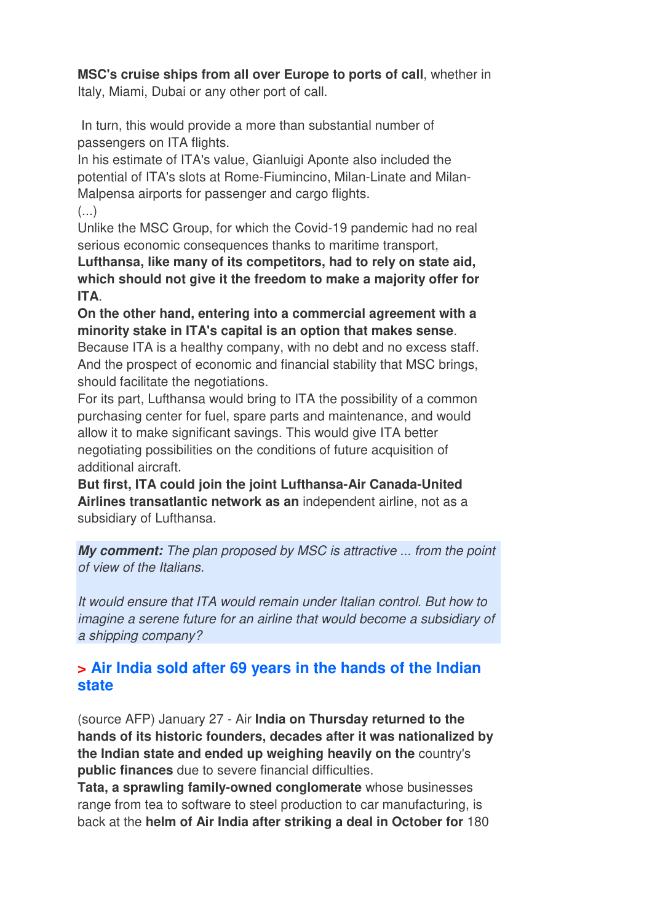#### **MSC's cruise ships from all over Europe to ports of call**, whether in

Italy, Miami, Dubai or any other port of call.

 In turn, this would provide a more than substantial number of passengers on ITA flights.

In his estimate of ITA's value, Gianluigi Aponte also included the potential of ITA's slots at Rome-Fiumincino, Milan-Linate and Milan-Malpensa airports for passenger and cargo flights.  $\left( \ldots \right)$ 

Unlike the MSC Group, for which the Covid-19 pandemic had no real serious economic consequences thanks to maritime transport,

**Lufthansa, like many of its competitors, had to rely on state aid, which should not give it the freedom to make a majority offer for ITA**.

**On the other hand, entering into a commercial agreement with a minority stake in ITA's capital is an option that makes sense**.

Because ITA is a healthy company, with no debt and no excess staff. And the prospect of economic and financial stability that MSC brings, should facilitate the negotiations.

For its part, Lufthansa would bring to ITA the possibility of a common purchasing center for fuel, spare parts and maintenance, and would allow it to make significant savings. This would give ITA better negotiating possibilities on the conditions of future acquisition of additional aircraft.

**But first, ITA could join the joint Lufthansa-Air Canada-United Airlines transatlantic network as an** independent airline, not as a subsidiary of Lufthansa.

**My comment:** The plan proposed by MSC is attractive ... from the point of view of the Italians.

It would ensure that ITA would remain under Italian control. But how to imagine a serene future for an airline that would become a subsidiary of a shipping company?

## **> Air India sold after 69 years in the hands of the Indian state**

(source AFP) January 27 - Air **India on Thursday returned to the hands of its historic founders, decades after it was nationalized by the Indian state and ended up weighing heavily on the** country's **public finances** due to severe financial difficulties.

**Tata, a sprawling family-owned conglomerate** whose businesses range from tea to software to steel production to car manufacturing, is back at the **helm of Air India after striking a deal in October for** 180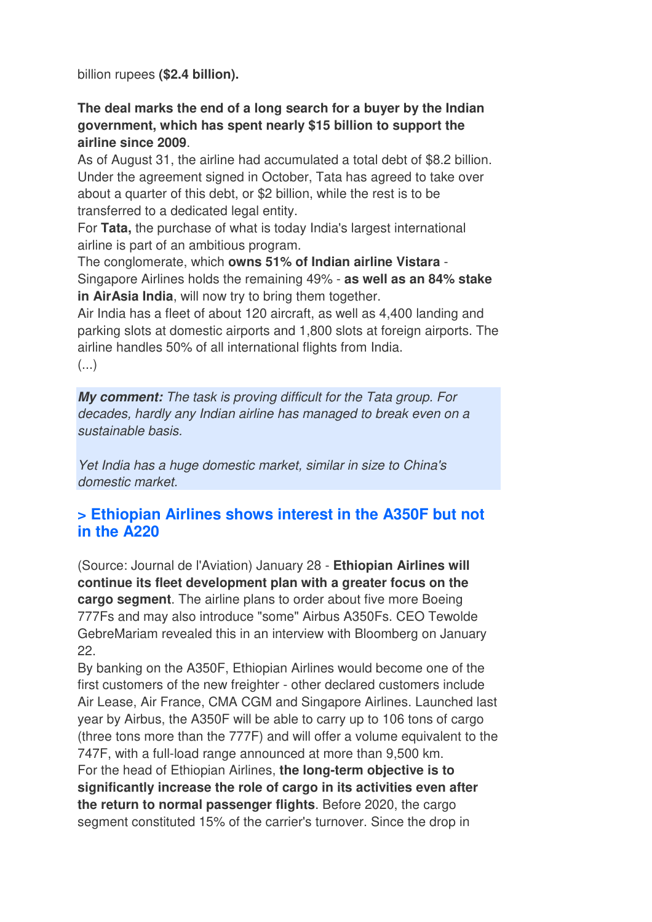billion rupees **(\$2.4 billion).** 

#### **The deal marks the end of a long search for a buyer by the Indian government, which has spent nearly \$15 billion to support the airline since 2009**.

As of August 31, the airline had accumulated a total debt of \$8.2 billion. Under the agreement signed in October, Tata has agreed to take over about a quarter of this debt, or \$2 billion, while the rest is to be transferred to a dedicated legal entity.

For **Tata,** the purchase of what is today India's largest international airline is part of an ambitious program.

The conglomerate, which **owns 51% of Indian airline Vistara** - Singapore Airlines holds the remaining 49% - **as well as an 84% stake in AirAsia India**, will now try to bring them together.

Air India has a fleet of about 120 aircraft, as well as 4,400 landing and parking slots at domestic airports and 1,800 slots at foreign airports. The airline handles 50% of all international flights from India. (...)

**My comment:** The task is proving difficult for the Tata group. For decades, hardly any Indian airline has managed to break even on a sustainable basis.

Yet India has a huge domestic market, similar in size to China's domestic market.

## **> Ethiopian Airlines shows interest in the A350F but not in the A220**

(Source: Journal de l'Aviation) January 28 - **Ethiopian Airlines will continue its fleet development plan with a greater focus on the cargo segment**. The airline plans to order about five more Boeing 777Fs and may also introduce "some" Airbus A350Fs. CEO Tewolde GebreMariam revealed this in an interview with Bloomberg on January 22.

By banking on the A350F, Ethiopian Airlines would become one of the first customers of the new freighter - other declared customers include Air Lease, Air France, CMA CGM and Singapore Airlines. Launched last year by Airbus, the A350F will be able to carry up to 106 tons of cargo (three tons more than the 777F) and will offer a volume equivalent to the 747F, with a full-load range announced at more than 9,500 km. For the head of Ethiopian Airlines, **the long-term objective is to significantly increase the role of cargo in its activities even after the return to normal passenger flights**. Before 2020, the cargo segment constituted 15% of the carrier's turnover. Since the drop in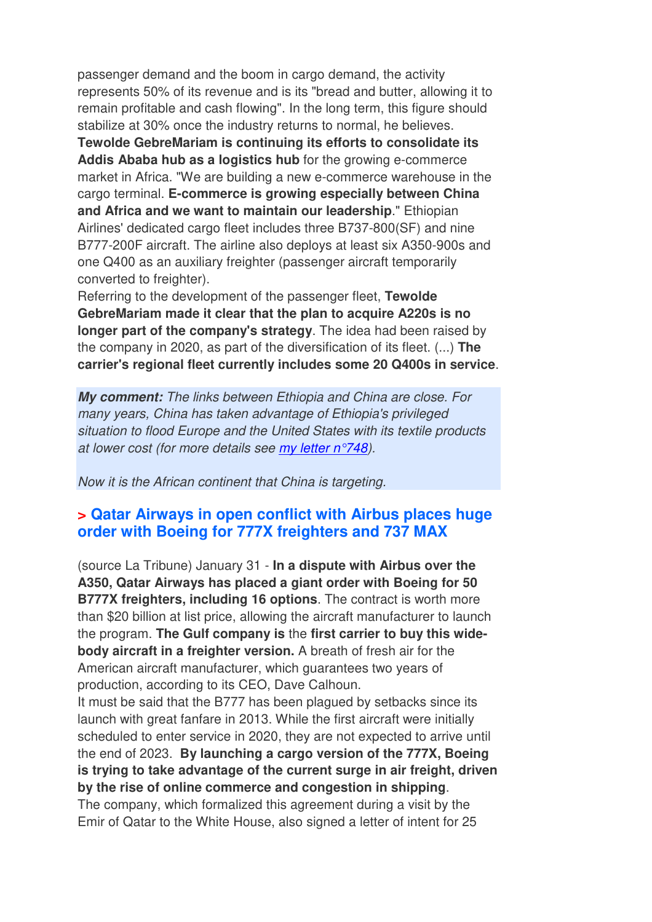passenger demand and the boom in cargo demand, the activity represents 50% of its revenue and is its "bread and butter, allowing it to remain profitable and cash flowing". In the long term, this figure should stabilize at 30% once the industry returns to normal, he believes.

**Tewolde GebreMariam is continuing its efforts to consolidate its Addis Ababa hub as a logistics hub** for the growing e-commerce market in Africa. "We are building a new e-commerce warehouse in the cargo terminal. **E-commerce is growing especially between China and Africa and we want to maintain our leadership**." Ethiopian Airlines' dedicated cargo fleet includes three B737-800(SF) and nine B777-200F aircraft. The airline also deploys at least six A350-900s and one Q400 as an auxiliary freighter (passenger aircraft temporarily converted to freighter).

Referring to the development of the passenger fleet, **Tewolde GebreMariam made it clear that the plan to acquire A220s is no longer part of the company's strategy**. The idea had been raised by the company in 2020, as part of the diversification of its fleet. (...) **The carrier's regional fleet currently includes some 20 Q400s in service**.

**My comment:** The links between Ethiopia and China are close. For many years, China has taken advantage of Ethiopia's privileged situation to flood Europe and the United States with its textile products at lower cost (for more details see my letter n°748).

Now it is the African continent that China is targeting.

#### **> Qatar Airways in open conflict with Airbus places huge order with Boeing for 777X freighters and 737 MAX**

(source La Tribune) January 31 - **In a dispute with Airbus over the A350, Qatar Airways has placed a giant order with Boeing for 50 B777X freighters, including 16 options**. The contract is worth more than \$20 billion at list price, allowing the aircraft manufacturer to launch the program. **The Gulf company is** the **first carrier to buy this widebody aircraft in a freighter version.** A breath of fresh air for the American aircraft manufacturer, which guarantees two years of production, according to its CEO, Dave Calhoun.

It must be said that the B777 has been plagued by setbacks since its launch with great fanfare in 2013. While the first aircraft were initially scheduled to enter service in 2020, they are not expected to arrive until the end of 2023. **By launching a cargo version of the 777X, Boeing is trying to take advantage of the current surge in air freight, driven by the rise of online commerce and congestion in shipping**. The company, which formalized this agreement during a visit by the Emir of Qatar to the White House, also signed a letter of intent for 25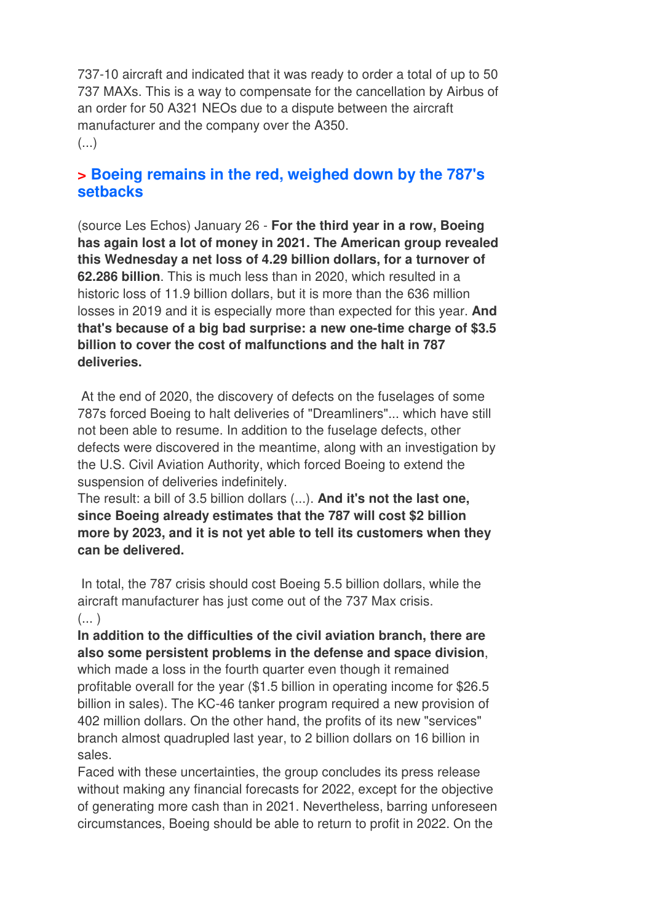737-10 aircraft and indicated that it was ready to order a total of up to 50 737 MAXs. This is a way to compensate for the cancellation by Airbus of an order for 50 A321 NEOs due to a dispute between the aircraft manufacturer and the company over the A350. (...)

#### **> Boeing remains in the red, weighed down by the 787's setbacks**

(source Les Echos) January 26 - **For the third year in a row, Boeing has again lost a lot of money in 2021. The American group revealed this Wednesday a net loss of 4.29 billion dollars, for a turnover of 62.286 billion**. This is much less than in 2020, which resulted in a historic loss of 11.9 billion dollars, but it is more than the 636 million losses in 2019 and it is especially more than expected for this year. **And that's because of a big bad surprise: a new one-time charge of \$3.5 billion to cover the cost of malfunctions and the halt in 787 deliveries.** 

 At the end of 2020, the discovery of defects on the fuselages of some 787s forced Boeing to halt deliveries of "Dreamliners"... which have still not been able to resume. In addition to the fuselage defects, other defects were discovered in the meantime, along with an investigation by the U.S. Civil Aviation Authority, which forced Boeing to extend the suspension of deliveries indefinitely.

The result: a bill of 3.5 billion dollars (...). **And it's not the last one, since Boeing already estimates that the 787 will cost \$2 billion more by 2023, and it is not yet able to tell its customers when they can be delivered.** 

 In total, the 787 crisis should cost Boeing 5.5 billion dollars, while the aircraft manufacturer has just come out of the 737 Max crisis.  $(\ldots)$ 

**In addition to the difficulties of the civil aviation branch, there are also some persistent problems in the defense and space division**, which made a loss in the fourth quarter even though it remained profitable overall for the year (\$1.5 billion in operating income for \$26.5 billion in sales). The KC-46 tanker program required a new provision of 402 million dollars. On the other hand, the profits of its new "services" branch almost quadrupled last year, to 2 billion dollars on 16 billion in sales.

Faced with these uncertainties, the group concludes its press release without making any financial forecasts for 2022, except for the objective of generating more cash than in 2021. Nevertheless, barring unforeseen circumstances, Boeing should be able to return to profit in 2022. On the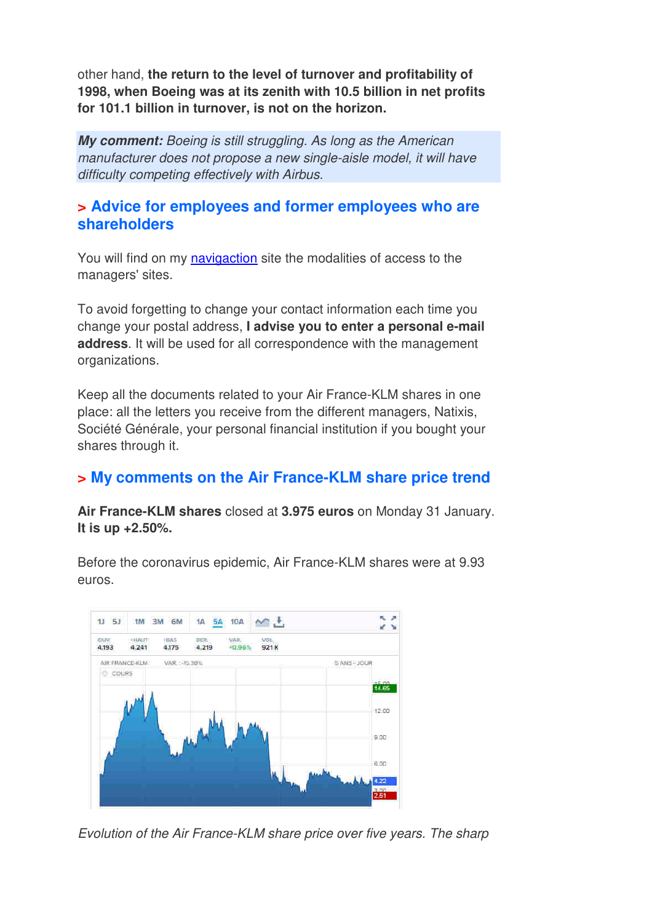other hand, **the return to the level of turnover and profitability of 1998, when Boeing was at its zenith with 10.5 billion in net profits for 101.1 billion in turnover, is not on the horizon.**

**My comment:** Boeing is still struggling. As long as the American manufacturer does not propose a new single-aisle model, it will have difficulty competing effectively with Airbus.

#### **> Advice for employees and former employees who are shareholders**

You will find on my navigaction site the modalities of access to the managers' sites.

To avoid forgetting to change your contact information each time you change your postal address, **I advise you to enter a personal e-mail address**. It will be used for all correspondence with the management organizations.

Keep all the documents related to your Air France-KLM shares in one place: all the letters you receive from the different managers, Natixis, Société Générale, your personal financial institution if you bought your shares through it.

## **> My comments on the Air France-KLM share price trend**

**Air France-KLM shares** closed at **3.975 euros** on Monday 31 January. **It is up +2.50%.** 

Before the coronavirus epidemic, Air France-KLM shares were at 9.93 euros.



Evolution of the Air France-KLM share price over five years. The sharp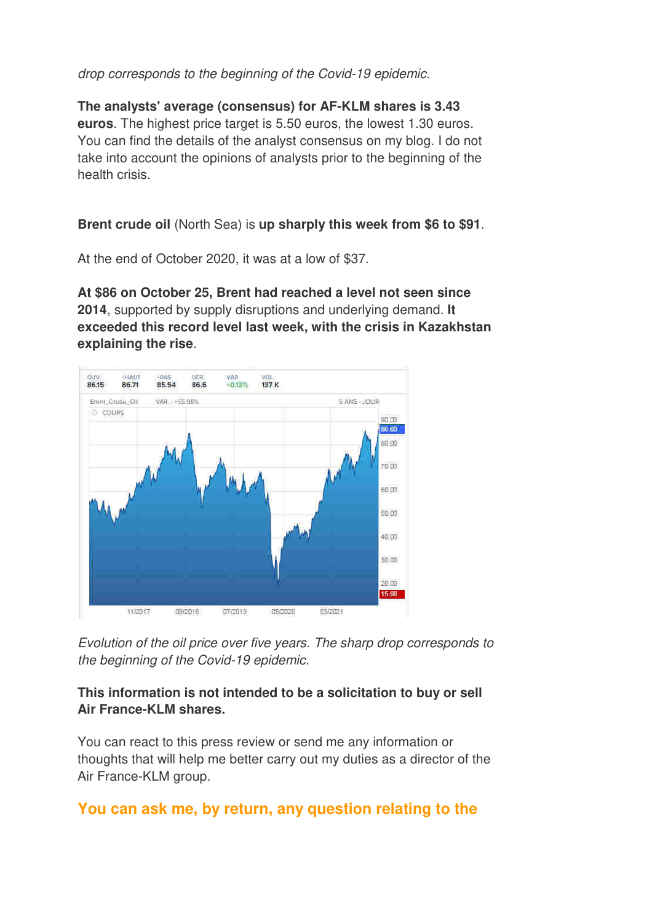#### drop corresponds to the beginning of the Covid-19 epidemic.

**The analysts' average (consensus) for AF-KLM shares is 3.43 euros**. The highest price target is 5.50 euros, the lowest 1.30 euros. You can find the details of the analyst consensus on my blog. I do not take into account the opinions of analysts prior to the beginning of the health crisis.

#### **Brent crude oil** (North Sea) is **up sharply this week from \$6 to \$91**.

At the end of October 2020, it was at a low of \$37.

**At \$86 on October 25, Brent had reached a level not seen since 2014**, supported by supply disruptions and underlying demand. **It exceeded this record level last week, with the crisis in Kazakhstan explaining the rise**.



Evolution of the oil price over five years. The sharp drop corresponds to the beginning of the Covid-19 epidemic.

#### **This information is not intended to be a solicitation to buy or sell Air France-KLM shares.**

You can react to this press review or send me any information or thoughts that will help me better carry out my duties as a director of the Air France-KLM group.

#### **You can ask me, by return, any question relating to the**